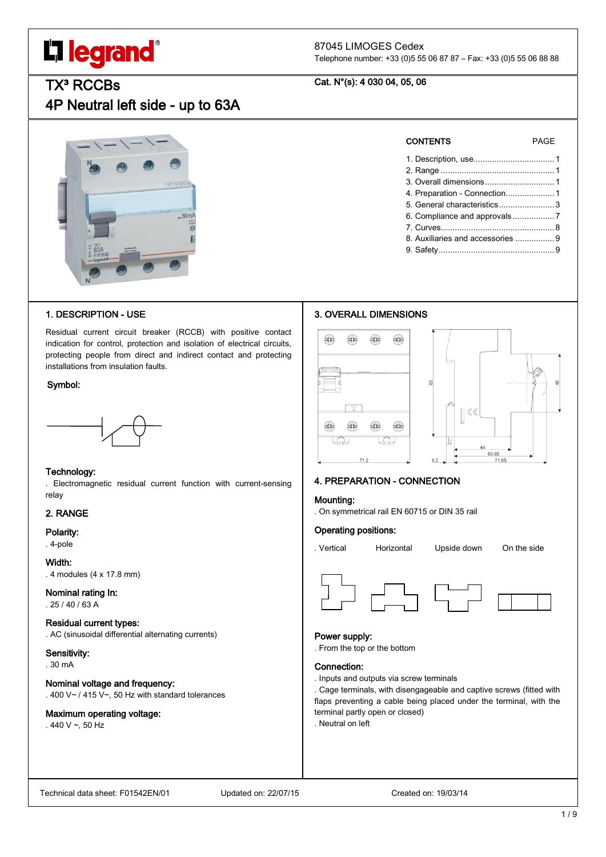# **L'i legrand**

# 87045 LIMOGES Cedex

Telephone number: +33 (0)5 55 06 87 87 – Fax: +33 (0)5 55 06 88 88

# Cat. N°(s): 4 030 04, 05, 06

# **TX<sup>3</sup> RCCBs**

4P Neutral left side - up to 63A



# 1. DESCRIPTION - USE

Residual current circuit breaker (RCCB) with positive contact indication for control, protection and isolation of electrical circuits, protecting people from direct and indirect contact and protecting installations from insulation faults.

#### Symbol:



#### Technology:

. Electromagnetic residual current function with current-sensing relay

# 2. RANGE

#### Polarity:

. 4-pole

Width: . 4 modules (4 x 17.8 mm)

# Nominal rating In:

. 25 / 40 / 63 A

# Residual current types:

. AC (sinusoidal differential alternating currents)

## Sensitivity:

. 30 mA

# Nominal voltage and frequency:

. 400 V~ / 415 V~, 50 Hz with standard tolerances

# Maximum operating voltage:

 $.440 V - .50 Hz$ 

| <b>CONTENTS</b>                   | PAGF |
|-----------------------------------|------|
|                                   |      |
|                                   |      |
|                                   |      |
| 4. Preparation - Connection 1     |      |
| 5. General characteristics 3      |      |
|                                   |      |
|                                   |      |
| 8. Auxiliaries and accessories  9 |      |
|                                   |      |

9. Safety..................................................9

# 3. OVERALL DIMENSIONS



# 4. PREPARATION - CONNECTION

# . On symmetrical rail EN 60715 or DIN 35 rail

Mounting:

# Operating positions:





#### Power supply:

. From the top or the bottom

#### Connection:

. Inputs and outputs via screw terminals

. Cage terminals, with disengageable and captive screws (fitted with flaps preventing a cable being placed under the terminal, with the terminal partly open or closed)

. Neutral on left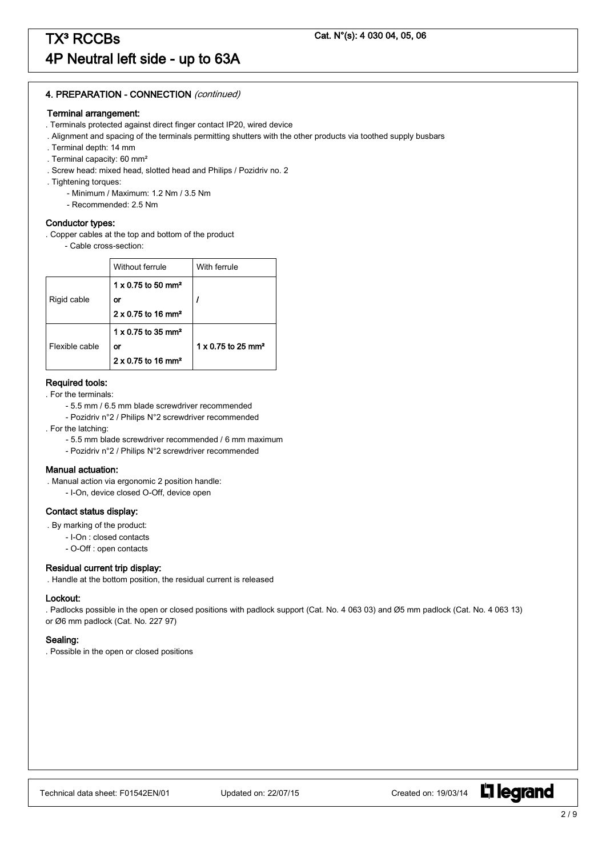# 4. PREPARATION - CONNECTION (continued)

#### Terminal arrangement:

- . Terminals protected against direct finger contact IP20, wired device
- . Alignment and spacing of the terminals permitting shutters with the other products via toothed supply busbars
- . Terminal depth: 14 mm
- . Terminal capacity: 60 mm²
- . Screw head: mixed head, slotted head and Philips / Pozidriv no. 2
- . Tightening torques:
	- Minimum / Maximum: 1.2 Nm / 3.5 Nm
	- Recommended: 2.5 Nm

#### Conductor types:

- . Copper cables at the top and bottom of the product
	- Cable cross-section:

|                | Without ferrule                       | With ferrule                          |
|----------------|---------------------------------------|---------------------------------------|
|                | $1 \times 0.75$ to 50 mm <sup>2</sup> |                                       |
| Rigid cable    | or                                    |                                       |
|                | $2 \times 0.75$ to 16 mm <sup>2</sup> |                                       |
|                | $1 \times 0.75$ to 35 mm <sup>2</sup> |                                       |
| Flexible cable | or                                    | $1 \times 0.75$ to 25 mm <sup>2</sup> |
|                | $2 \times 0.75$ to 16 mm <sup>2</sup> |                                       |

### Required tools:

- . For the terminals:
	- 5.5 mm / 6.5 mm blade screwdriver recommended
	- Pozidriv n°2 / Philips N°2 screwdriver recommended
- . For the latching:
	- 5.5 mm blade screwdriver recommended / 6 mm maximum
	- Pozidriv n°2 / Philips N°2 screwdriver recommended

#### Manual actuation:

. Manual action via ergonomic 2 position handle:

- I-On, device closed O-Off, device open

## Contact status display:

- . By marking of the product:
	- I-On : closed contacts
	- O-Off : open contacts

#### Residual current trip display:

. Handle at the bottom position, the residual current is released

#### Lockout:

. Padlocks possible in the open or closed positions with padlock support (Cat. No. 4 063 03) and Ø5 mm padlock (Cat. No. 4 063 13) or Ø6 mm padlock (Cat. No. 227 97)

#### Sealing:

. Possible in the open or closed positions

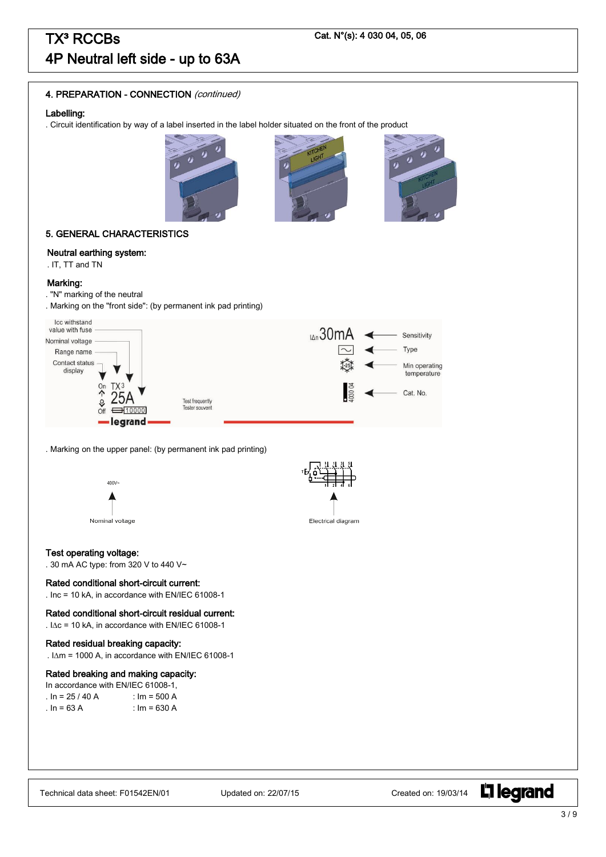# 4. PREPARATION - CONNECTION (continued)

#### Labelling:

. Circuit identification by way of a label inserted in the label holder situated on the front of the product







## 5. GENERAL CHARACTERISTICS

### Neutral earthing system:

. IT, TT and TN

#### Marking:

- . "N" marking of the neutral
- . Marking on the "front side": (by permanent ink pad printing)



. Marking on the upper panel: (by permanent ink pad printing)





Electrical diagram

# Test operating voltage:

. 30 mA AC type: from 320 V to 440 V~

#### Rated conditional short-circuit current:

. Inc = 10 kA, in accordance with EN/IEC 61008-1

# Rated conditional short-circuit residual current:

.  $IAC = 10$  kA, in accordance with EN/IEC 61008-1

#### Rated residual breaking capacity:

.  $I\Delta m = 1000$  A, in accordance with EN/IEC 61008-1

#### Rated breaking and making capacity:

| In accordance with EN/IEC 61008-1. |                |  |  |  |
|------------------------------------|----------------|--|--|--|
| . In = 25 / 40 A                   | : $Im = 500 A$ |  |  |  |
| . In = 63 A                        | : $Im = 630 A$ |  |  |  |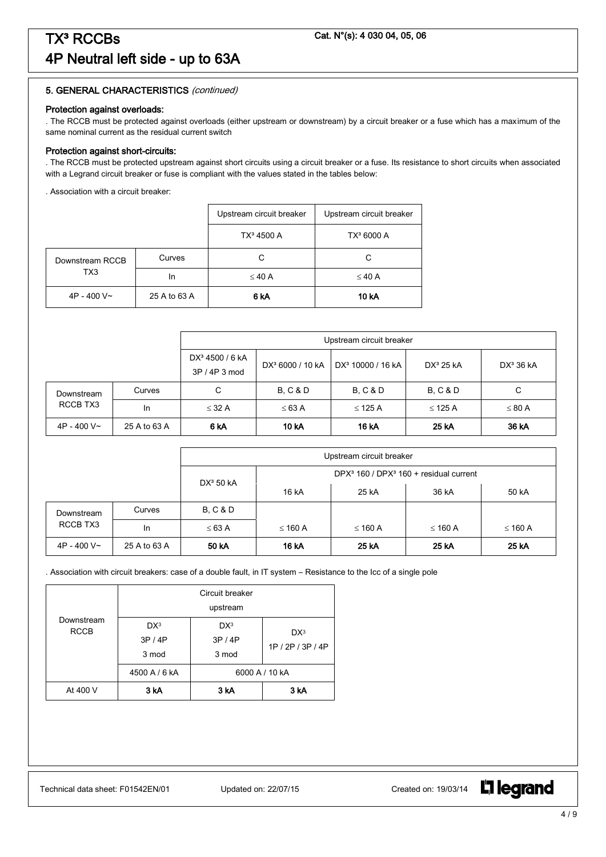#### Protection against overloads:

. The RCCB must be protected against overloads (either upstream or downstream) by a circuit breaker or a fuse which has a maximum of the same nominal current as the residual current switch

#### Protection against short-circuits:

. The RCCB must be protected upstream against short circuits using a circuit breaker or a fuse. Its resistance to short circuits when associated with a Legrand circuit breaker or fuse is compliant with the values stated in the tables below:

. Association with a circuit breaker:

|                 |              | Upstream circuit breaker | Upstream circuit breaker |
|-----------------|--------------|--------------------------|--------------------------|
|                 |              | TX <sup>3</sup> 4500 A   | TX <sup>3</sup> 6000 A   |
| Downstream RCCB | Curves       | С                        | C                        |
| TX3             | In           | $\leq 40$ A              | $\leq 40$ A              |
| $4P - 400V -$   | 25 A to 63 A | 6 <sub>k</sub> A         | 10 kA                    |

|               |              | Upstream circuit breaker                                                                                                             |                     |                     |                     |                       |
|---------------|--------------|--------------------------------------------------------------------------------------------------------------------------------------|---------------------|---------------------|---------------------|-----------------------|
|               |              | DX <sup>3</sup> 4500 / 6 kA<br>DX <sup>3</sup> 10000 / 16 kA<br>$DX^3$ 25 kA<br>DX <sup>3</sup> 6000 / 10 kA<br>$3P/4P3 \text{ mod}$ |                     |                     |                     | DX <sup>3</sup> 36 kA |
| Downstream    | Curves       | С                                                                                                                                    | <b>B. C &amp; D</b> | <b>B. C &amp; D</b> | <b>B. C &amp; D</b> | С                     |
| RCCB TX3      | <b>In</b>    | $\leq$ 32 A                                                                                                                          | $\leq 63$ A         | $\leq$ 125 A        | $\leq$ 125 A        | $\leq 80$ A           |
| $4P - 400V$ ~ | 25 A to 63 A | 6 kA                                                                                                                                 | <b>10 kA</b>        | 16 kA               | 25 kA               | 36 kA                 |

|               |              | Upstream circuit breaker |              |              |                                              |              |
|---------------|--------------|--------------------------|--------------|--------------|----------------------------------------------|--------------|
|               |              | DX <sup>3</sup> 50 kA    |              |              | DPX $3$ 160 / DPX $3$ 160 + residual current |              |
|               |              |                          | 16 kA        | 25 kA        | 36 kA                                        | 50 kA        |
| Downstream    | Curves       | <b>B. C &amp; D</b>      |              |              |                                              |              |
| RCCB TX3      | In.          | $\leq 63$ A              | $\leq$ 160 A | $\leq$ 160 A | ≤ 160 A                                      | $\leq$ 160 A |
| $4P - 400V$ ~ | 25 A to 63 A | 50 kA                    | 16 kA        | 25 kA        | 25 kA                                        | 25 kA        |

. Association with circuit breakers: case of a double fault, in IT system – Resistance to the Icc of a single pole

|                           |                                 | Circuit breaker |                   |  |  |  |
|---------------------------|---------------------------------|-----------------|-------------------|--|--|--|
|                           |                                 | upstream        |                   |  |  |  |
| Downstream<br><b>RCCB</b> | DX <sup>3</sup>                 | DX <sup>3</sup> | DX <sup>3</sup>   |  |  |  |
|                           | 3P/4P                           | 3P/4P           | 1P / 2P / 3P / 4P |  |  |  |
|                           | 3 mod                           | 3 mod           |                   |  |  |  |
|                           | 4500 A / 6 kA<br>6000 A / 10 kA |                 |                   |  |  |  |
| At 400 V                  | 3 kA                            | 3 kA            | 3 kA              |  |  |  |

Technical data sheet: F01542EN/01 Updated on: 22/07/15 Created on: 19/03/14

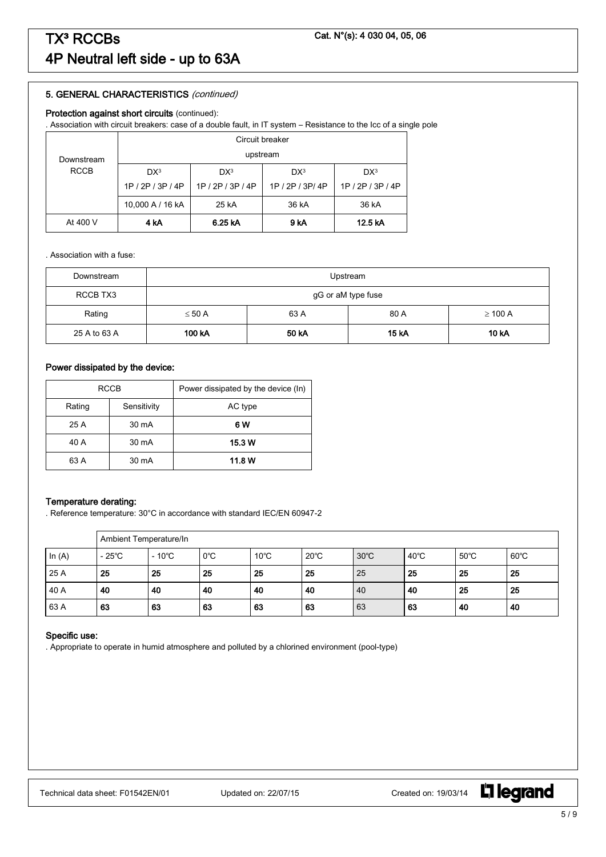#### Protection against short circuits (continued):

. Association with circuit breakers: case of a double fault, in IT system – Resistance to the Icc of a single pole

|             | Circuit breaker                                                          |                            |                   |  |  |  |  |
|-------------|--------------------------------------------------------------------------|----------------------------|-------------------|--|--|--|--|
| Downstream  | upstream                                                                 |                            |                   |  |  |  |  |
| <b>RCCB</b> | DX <sup>3</sup><br>DX <sup>3</sup><br>DX <sup>3</sup><br>DX <sup>3</sup> |                            |                   |  |  |  |  |
|             | 1P / 2P / 3P / 4P                                                        | 1P / 2P / 3P/ 4P           | 1P / 2P / 3P / 4P |  |  |  |  |
|             | 10,000 A / 16 kA<br>36 kA<br>36 kA<br>25 kA                              |                            |                   |  |  |  |  |
| At 400 V    | 4 kA                                                                     | 6.25 kA<br>9 kA<br>12.5 kA |                   |  |  |  |  |

. Association with a fuse:

| Downstream   | Upstream                                    |  |  |  |  |
|--------------|---------------------------------------------|--|--|--|--|
| RCCB TX3     | gG or aM type fuse                          |  |  |  |  |
| Rating       | $\leq 50$ A<br>63 A<br>80 A<br>$\geq$ 100 A |  |  |  |  |
| 25 A to 63 A | 100 kA<br>50 kA<br><b>15 kA</b><br>10 kA    |  |  |  |  |

# Power dissipated by the device:

| <b>RCCB</b> |             | Power dissipated by the device (In) |
|-------------|-------------|-------------------------------------|
| Rating      | Sensitivity | AC type                             |
| 25 A        | 30 mA       | 6 W                                 |
| 40 A        | 30 mA       | 15.3 W                              |
| 63 A        | 30 mA       | 11.8 W                              |

#### Temperature derating:

. Reference temperature: 30°C in accordance with standard IEC/EN 60947-2

|          |                 | Ambient Temperature/In |               |                |                |                |                |                |                |
|----------|-----------------|------------------------|---------------|----------------|----------------|----------------|----------------|----------------|----------------|
| In $(A)$ | $-25^{\circ}$ C | $-10^{\circ}$ C        | $0^{\circ}$ C | $10^{\circ}$ C | $20^{\circ}$ C | $30^{\circ}$ C | $40^{\circ}$ C | $50^{\circ}$ C | $60^{\circ}$ C |
| 25 A     | 25              | 25                     | 25            | 25             | 25             | 25             | 25             | 25             | 25             |
| 40 A     | 40              | 40                     | 40            | 40             | -40            | 40             | 40             | 25             | 25             |
| 63 A     | 63              | 63                     | 63            | 63             | 63             | 63             | 63             | 40             | 40             |

#### Specific use:

. Appropriate to operate in humid atmosphere and polluted by a chlorined environment (pool-type)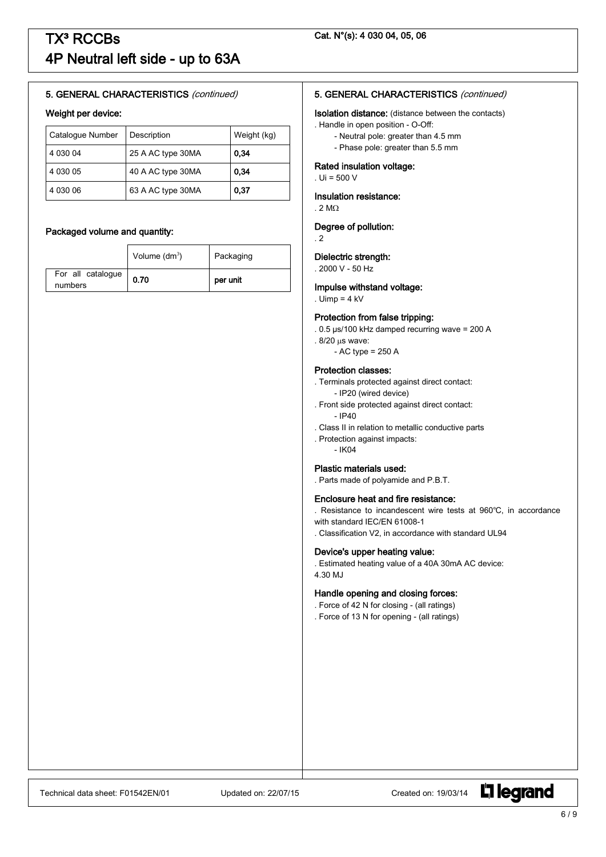#### Weight per device:

| Catalogue Number | Description       | Weight (kg) |
|------------------|-------------------|-------------|
| 4 030 04         | 25 A AC type 30MA | 0.34        |
| 4 030 05         | 40 A AC type 30MA | 0,34        |
| 4 030 06         | 63 A AC type 30MA | 0.37        |

#### Packaged volume and quantity:

|                              | Volume $(dm^3)$ | Packaging |  |
|------------------------------|-----------------|-----------|--|
| For all catalogue<br>numbers | 0.70            | per unit  |  |

#### 5. GENERAL CHARACTERISTICS (continued)

#### Isolation distance: (distance between the contacts)

- . Handle in open position O-Off:
	- Neutral pole: greater than 4.5 mm
	- Phase pole: greater than 5.5 mm

#### Rated insulation voltage:

. Ui = 500 V

#### Insulation resistance:

. 2 M $\Omega$ 

#### Degree of pollution:

. 2

#### Dielectric strength:

. 2000 V - 50 Hz

#### Impulse withstand voltage:

#### . Uimp  $= 4$  kV

#### Protection from false tripping:

. 0.5 µs/100 kHz damped recurring wave = 200 A

- .  $8/20 \,\mu s$  wave:
	- $-$  AC type = 250 A

#### Protection classes:

- . Terminals protected against direct contact: - IP20 (wired device)
- . Front side protected against direct contact:  $-$  IP40
- . Class II in relation to metallic conductive parts
- . Protection against impacts: - IK04

#### Plastic materials used:

. Parts made of polyamide and P.B.T.

#### Enclosure heat and fire resistance:

. Resistance to incandescent wire tests at 960℃, in accordance with standard IEC/EN 61008-1

. Classification V2, in accordance with standard UL94

#### Device's upper heating value:

. Estimated heating value of a 40A 30mA AC device: 4.30 MJ

#### Handle opening and closing forces:

. Force of 42 N for closing - (all ratings)

. Force of 13 N for opening - (all ratings)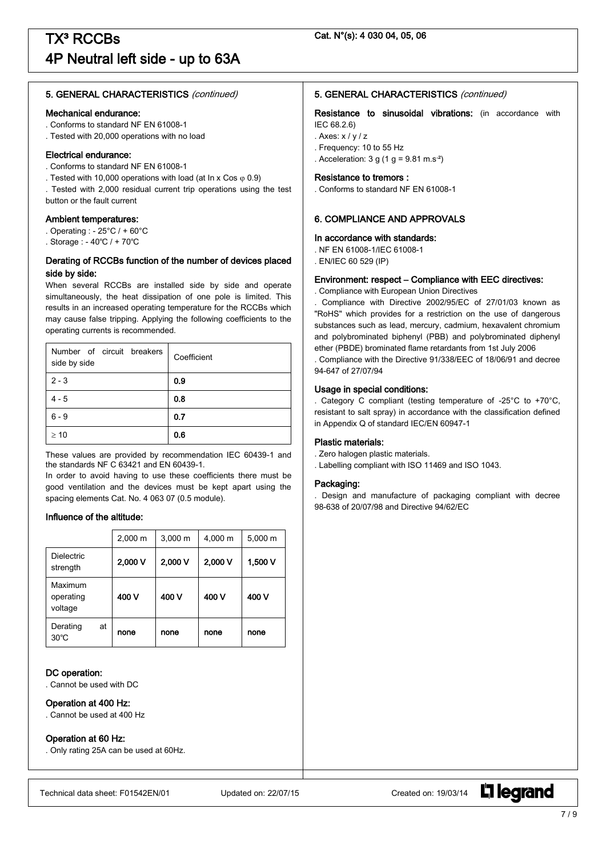#### Mechanical endurance:

- . Conforms to standard NF EN 61008-1
- . Tested with 20,000 operations with no load

#### Electrical endurance:

- . Conforms to standard NF EN 61008-1
- . Tested with 10,000 operations with load (at In x Cos  $\varphi$  0.9)
- . Tested with 2,000 residual current trip operations using the test button or the fault current

#### Ambient temperatures:

- . Operating : 25°C / + 60°C
- . Storage : 40℃ / + 70℃

### Derating of RCCBs function of the number of devices placed side by side:

When several RCCBs are installed side by side and operate simultaneously, the heat dissipation of one pole is limited. This results in an increased operating temperature for the RCCBs which may cause false tripping. Applying the following coefficients to the operating currents is recommended.

| Number of circuit breakers<br>side by side | Coefficient |
|--------------------------------------------|-------------|
| $2 - 3$                                    | 0.9         |
| $4 - 5$                                    | 0.8         |
| $6 - 9$                                    | 0.7         |
| $\geq 10$                                  | 0.6         |

These values are provided by recommendation IEC 60439-1 and the standards NF C 63421 and EN 60439-1.

In order to avoid having to use these coefficients there must be good ventilation and the devices must be kept apart using the spacing elements Cat. No. 4 063 07 (0.5 module).

#### Influence of the altitude:

|                                 |    | $2,000 \; m$ | $3,000 \; m$ | 4,000 m | 5,000 m |
|---------------------------------|----|--------------|--------------|---------|---------|
| <b>Dielectric</b><br>strength   |    | 2,000 V      | 2,000 V      | 2,000 V | 1,500 V |
| Maximum<br>operating<br>voltage |    | 400 V        | 400 V        | 400 V   | 400 V   |
| Derating<br>$30^{\circ}$ C      | at | none         | none         | none    | none    |

#### DC operation:

. Cannot be used with DC

#### Operation at 400 Hz:

. Cannot be used at 400 Hz

#### Operation at 60 Hz:

. Only rating 25A can be used at 60Hz.

## 5. GENERAL CHARACTERISTICS (continued)

Resistance to sinusoidal vibrations: (in accordance with IEC 68.2.6)

. Axes:  $x / y / z$ 

- . Frequency: 10 to 55 Hz
- . Acceleration:  $3 g (1 g = 9.81 m.s<sup>-2</sup>)$

#### Resistance to tremors :

. Conforms to standard NF EN 61008-1

# 6. COMPLIANCE AND APPROVALS

#### In accordance with standards:

- . NF EN 61008-1/IEC 61008-1
- . EN/IEC 60 529 (IP)

#### Environment: respect – Compliance with EEC directives:

. Compliance with European Union Directives

. Compliance with Directive 2002/95/EC of 27/01/03 known as "RoHS" which provides for a restriction on the use of dangerous substances such as lead, mercury, cadmium, hexavalent chromium and polybrominated biphenyl (PBB) and polybrominated diphenyl ether (PBDE) brominated flame retardants from 1st July 2006 . Compliance with the Directive 91/338/EEC of 18/06/91 and decree

94-647 of 27/07/94

# Usage in special conditions:

. Category C compliant (testing temperature of -25°C to +70°C, resistant to salt spray) in accordance with the classification defined in Appendix Q of standard IEC/EN 60947-1

#### Plastic materials:

- . Zero halogen plastic materials.
- . Labelling compliant with ISO 11469 and ISO 1043.

#### Packaging:

. Design and manufacture of packaging compliant with decree 98-638 of 20/07/98 and Directive 94/62/EC



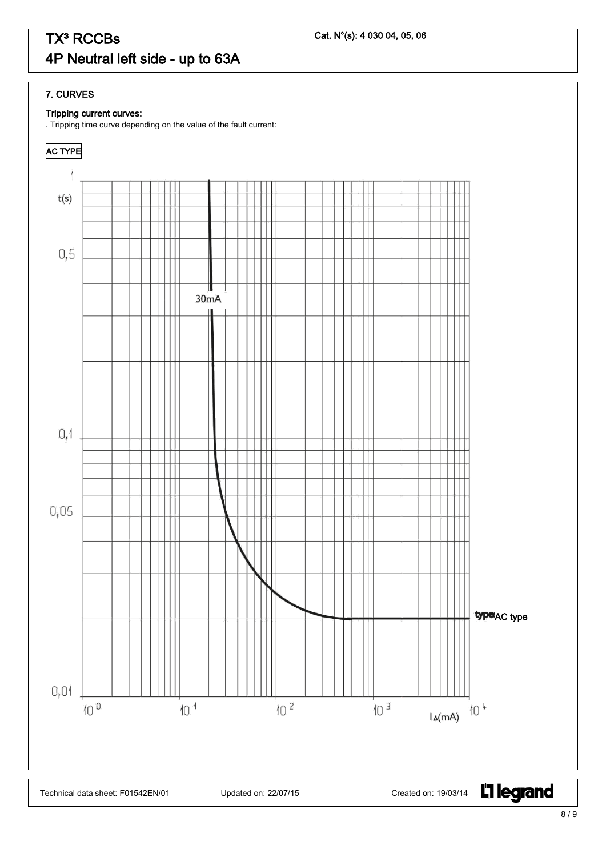# 7. CURVES

# Tripping current curves:

. Tripping time curve depending on the value of the fault current: